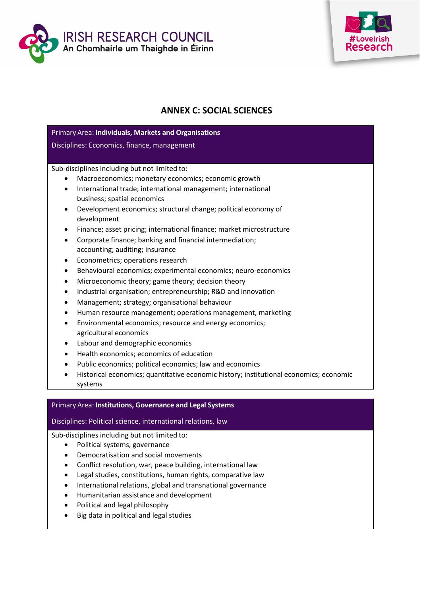



# **ANNEX C: SOCIAL SCIENCES**

| Primary Area: Individuals, Markets and Organisations                                   |
|----------------------------------------------------------------------------------------|
| Disciplines: Economics, finance, management                                            |
|                                                                                        |
| Sub-disciplines including but not limited to:                                          |
| Macroeconomics; monetary economics; economic growth                                    |
| International trade; international management; international<br>$\bullet$              |
| business; spatial economics                                                            |
| Development economics; structural change; political economy of<br>$\bullet$            |
| development                                                                            |
| Finance; asset pricing; international finance; market microstructure<br>$\bullet$      |
| Corporate finance; banking and financial intermediation;<br>$\bullet$                  |
| accounting; auditing; insurance                                                        |
| Econometrics; operations research<br>٠                                                 |
| Behavioural economics; experimental economics; neuro-economics<br>$\bullet$            |
| Microeconomic theory; game theory; decision theory<br>$\bullet$                        |
| Industrial organisation; entrepreneurship; R&D and innovation<br>$\bullet$             |
| Management; strategy; organisational behaviour<br>$\bullet$                            |
| Human resource management; operations management, marketing<br>$\bullet$               |
| Environmental economics; resource and energy economics;<br>$\bullet$                   |
| agricultural economics                                                                 |
| Labour and demographic economics<br>$\bullet$                                          |
| Health economics; economics of education<br>$\bullet$                                  |
| Public economics; political economics; law and economics<br>$\bullet$                  |
| Historical economics; quantitative economic history; institutional economics; economic |
| systems                                                                                |
|                                                                                        |

## Primary Area: **Institutions, Governance and Legal Systems**

Disciplines: Political science, international relations, law

Sub-disciplines including but not limited to:

- Political systems, governance
- Democratisation and social movements
- Conflict resolution, war, peace building, international law
- Legal studies, constitutions, human rights, comparative law
- International relations, global and transnational governance
- Humanitarian assistance and development
- Political and legal philosophy
- Big data in political and legal studies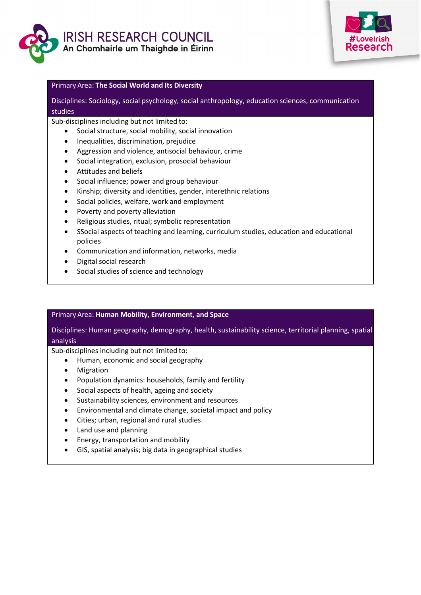



#### Primary Area: **The Social World and Its Diversity**

## Disciplines: Sociology, social psychology, social anthropology, education sciences, communication studies

#### Sub-disciplines including but not limited to:

- Social structure, social mobility, social innovation
- Inequalities, discrimination, prejudice
- Aggression and violence, antisocial behaviour, crime
- Social integration, exclusion, prosocial behaviour
- Attitudes and beliefs
- Social influence; power and group behaviour
- Kinship; diversity and identities, gender, interethnic relations
- Social policies, welfare, work and employment
- Poverty and poverty alleviation
- Religious studies, ritual; symbolic representation
- SSocial aspects of teaching and learning, curriculum studies, education and educational policies
- Communication and information, networks, media
- Digital social research
- Social studies of science and technology

#### Primary Area: **Human Mobility, Environment, and Space**

Disciplines: Human geography, demography, health, sustainability science, territorial planning, spatial analysis

Sub-disciplines including but not limited to:

- Human, economic and social geography
- Migration
- Population dynamics: households, family and fertility
- Social aspects of health, ageing and society
- Sustainability sciences, environment and resources
- Environmental and climate change, societal impact and policy
- Cities; urban, regional and rural studies
- Land use and planning
- Energy, transportation and mobility
- GIS, spatial analysis; big data in geographical studies